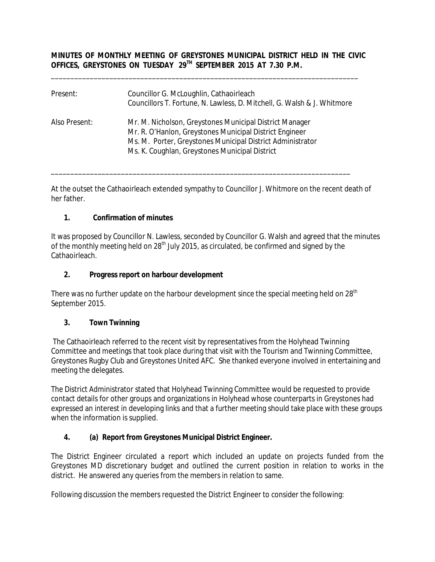## **MINUTES OF MONTHLY MEETING OF GREYSTONES MUNICIPAL DISTRICT HELD IN THE CIVIC OFFICES, GREYSTONES ON TUESDAY 29TH SEPTEMBER 2015 AT 7.30 P.M.**

\_\_\_\_\_\_\_\_\_\_\_\_\_\_\_\_\_\_\_\_\_\_\_\_\_\_\_\_\_\_\_\_\_\_\_\_\_\_\_\_\_\_\_\_\_\_\_\_\_\_\_\_\_\_\_\_\_\_\_\_\_\_\_\_\_\_\_\_\_\_\_\_\_\_\_\_\_\_\_

| Present:      | Councillor G. McLoughlin, Cathaoirleach<br>Councillors T. Fortune, N. Lawless, D. Mitchell, G. Walsh & J. Whitmore                                                                                                                 |
|---------------|------------------------------------------------------------------------------------------------------------------------------------------------------------------------------------------------------------------------------------|
| Also Present: | Mr. M. Nicholson, Greystones Municipal District Manager<br>Mr. R. O'Hanlon, Greystones Municipal District Engineer<br>Ms. M. Porter, Greystones Municipal District Administrator<br>Ms. K. Coughlan, Greystones Municipal District |

\_\_\_\_\_\_\_\_\_\_\_\_\_\_\_\_\_\_\_\_\_\_\_\_\_\_\_\_\_\_\_\_\_\_\_\_\_\_\_\_\_\_\_\_\_\_\_\_\_\_\_\_\_\_\_\_\_\_\_\_\_\_\_\_\_\_\_\_\_\_\_\_\_\_\_\_\_

At the outset the Cathaoirleach extended sympathy to Councillor J. Whitmore on the recent death of her father.

## **1. Confirmation of minutes**

It was proposed by Councillor N. Lawless, seconded by Councillor G. Walsh and agreed that the minutes of the monthly meeting held on 28<sup>th</sup> July 2015, as circulated, be confirmed and signed by the Cathaoirleach.

## **2. Progress report on harbour development**

There was no further update on the harbour development since the special meeting held on  $28<sup>th</sup>$ September 2015.

#### **3. Town Twinning**

The Cathaoirleach referred to the recent visit by representatives from the Holyhead Twinning Committee and meetings that took place during that visit with the Tourism and Twinning Committee, Greystones Rugby Club and Greystones United AFC. She thanked everyone involved in entertaining and meeting the delegates.

The District Administrator stated that Holyhead Twinning Committee would be requested to provide contact details for other groups and organizations in Holyhead whose counterparts in Greystones had expressed an interest in developing links and that a further meeting should take place with these groups when the information is supplied.

# **4. (a) Report from Greystones Municipal District Engineer.**

The District Engineer circulated a report which included an update on projects funded from the Greystones MD discretionary budget and outlined the current position in relation to works in the district. He answered any queries from the members in relation to same.

Following discussion the members requested the District Engineer to consider the following: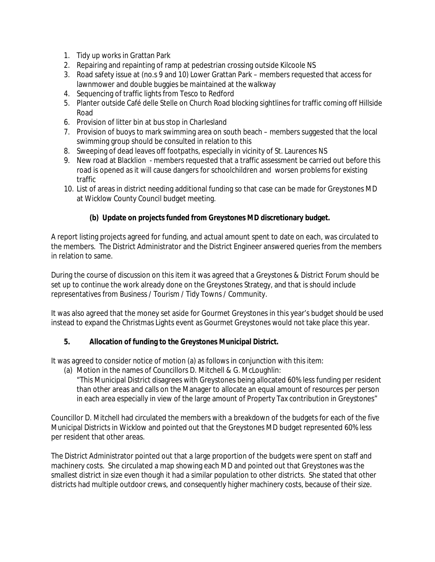- 1. Tidy up works in Grattan Park
- 2. Repairing and repainting of ramp at pedestrian crossing outside Kilcoole NS
- 3. Road safety issue at (no.s 9 and 10) Lower Grattan Park members requested that access for lawnmower and double buggies be maintained at the walkway
- 4. Sequencing of traffic lights from Tesco to Redford
- 5. Planter outside Café delle Stelle on Church Road blocking sightlines for traffic coming off Hillside Road
- 6. Provision of litter bin at bus stop in Charlesland
- 7. Provision of buoys to mark swimming area on south beach members suggested that the local swimming group should be consulted in relation to this
- 8. Sweeping of dead leaves off footpaths, especially in vicinity of St. Laurences NS
- 9. New road at Blacklion members requested that a traffic assessment be carried out before this road is opened as it will cause dangers for schoolchildren and worsen problems for existing traffic
- 10. List of areas in district needing additional funding so that case can be made for Greystones MD at Wicklow County Council budget meeting.

## **(b) Update on projects funded from Greystones MD discretionary budget.**

A report listing projects agreed for funding, and actual amount spent to date on each, was circulated to the members. The District Administrator and the District Engineer answered queries from the members in relation to same.

During the course of discussion on this item it was agreed that a Greystones & District Forum should be set up to continue the work already done on the Greystones Strategy, and that is should include representatives from Business / Tourism / Tidy Towns / Community.

It was also agreed that the money set aside for Gourmet Greystones in this year's budget should be used instead to expand the Christmas Lights event as Gourmet Greystones would not take place this year.

#### **5. Allocation of funding to the Greystones Municipal District.**

It was agreed to consider notice of motion (a) as follows in conjunction with this item:

(a) Motion in the names of Councillors D. Mitchell & G. McLoughlin:

"This Municipal District disagrees with Greystones being allocated 60% less funding per resident than other areas and calls on the Manager to allocate an equal amount of resources per person in each area especially in view of the large amount of Property Tax contribution in Greystones"

Councillor D. Mitchell had circulated the members with a breakdown of the budgets for each of the five Municipal Districts in Wicklow and pointed out that the Greystones MD budget represented 60% less per resident that other areas.

The District Administrator pointed out that a large proportion of the budgets were spent on staff and machinery costs. She circulated a map showing each MD and pointed out that Greystones was the smallest district in size even though it had a similar population to other districts. She stated that other districts had multiple outdoor crews, and consequently higher machinery costs, because of their size.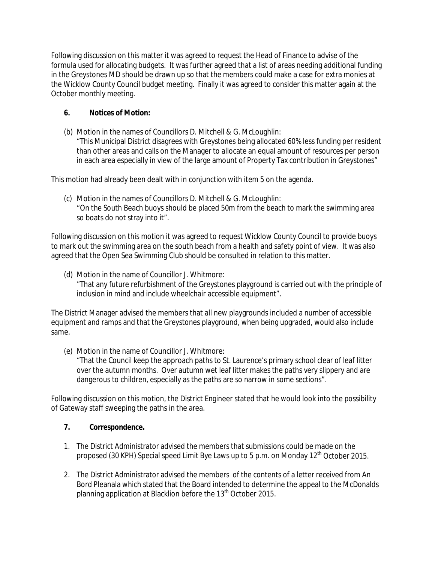Following discussion on this matter it was agreed to request the Head of Finance to advise of the formula used for allocating budgets. It was further agreed that a list of areas needing additional funding in the Greystones MD should be drawn up so that the members could make a case for extra monies at the Wicklow County Council budget meeting. Finally it was agreed to consider this matter again at the October monthly meeting.

# **6. Notices of Motion:**

(b) Motion in the names of Councillors D. Mitchell & G. McLoughlin:

"This Municipal District disagrees with Greystones being allocated 60% less funding per resident than other areas and calls on the Manager to allocate an equal amount of resources per person in each area especially in view of the large amount of Property Tax contribution in Greystones"

This motion had already been dealt with in conjunction with item 5 on the agenda.

(c) Motion in the names of Councillors D. Mitchell & G. McLoughlin: "On the South Beach buoys should be placed 50m from the beach to mark the swimming area so boats do not stray into it".

Following discussion on this motion it was agreed to request Wicklow County Council to provide buoys to mark out the swimming area on the south beach from a health and safety point of view. It was also agreed that the Open Sea Swimming Club should be consulted in relation to this matter.

(d) Motion in the name of Councillor J. Whitmore: "That any future refurbishment of the Greystones playground is carried out with the principle of inclusion in mind and include wheelchair accessible equipment".

The District Manager advised the members that all new playgrounds included a number of accessible equipment and ramps and that the Greystones playground, when being upgraded, would also include same.

(e) Motion in the name of Councillor J. Whitmore:

"That the Council keep the approach paths to St. Laurence's primary school clear of leaf litter over the autumn months. Over autumn wet leaf litter makes the paths very slippery and are dangerous to children, especially as the paths are so narrow in some sections".

Following discussion on this motion, the District Engineer stated that he would look into the possibility of Gateway staff sweeping the paths in the area.

# **7. Correspondence.**

- 1. The District Administrator advised the members that submissions could be made on the proposed (30 KPH) Special speed Limit Bye Laws up to 5 p.m. on Monday  $12<sup>th</sup>$  October 2015.
- 2. The District Administrator advised the members of the contents of a letter received from An Bord Pleanala which stated that the Board intended to determine the appeal to the McDonalds planning application at Blacklion before the 13<sup>th</sup> October 2015.